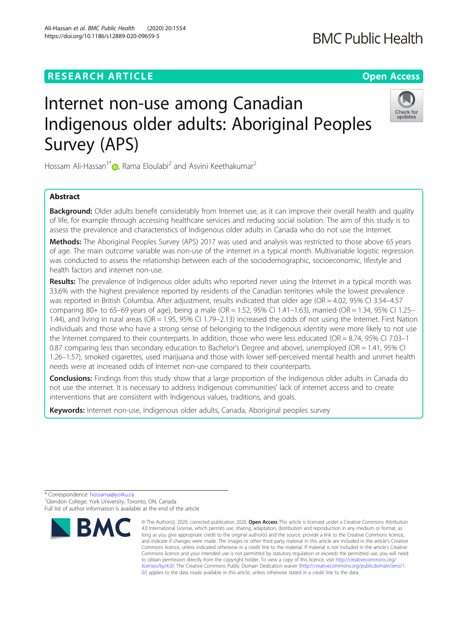## **RESEARCH ARTICLE Example 2014 12:30 The Contract of Contract ACCESS**

# Internet non-use among Canadian Indigenous older adults: Aboriginal Peoples Survey (APS)

Hossam Ali-Hassan<sup>1\*</sup> [,](http://orcid.org/0000-0002-4282-8063) Rama Eloulabi<sup>2</sup> and Asvini Keethakumar<sup>2</sup>

### Abstract

Background: Older adults benefit considerably from Internet use, as it can improve their overall health and quality of life, for example through accessing healthcare services and reducing social isolation. The aim of this study is to assess the prevalence and characteristics of Indigenous older adults in Canada who do not use the Internet.

Methods: The Aboriginal Peoples Survey (APS) 2017 was used and analysis was restricted to those above 65 years of age. The main outcome variable was non-use of the internet in a typical month. Multivariable logistic regression was conducted to assess the relationship between each of the sociodemographic, socioeconomic, lifestyle and health factors and internet non-use.

Results: The prevalence of Indigenous older adults who reported never using the Internet in a typical month was 33.6% with the highest prevalence reported by residents of the Canadian territories while the lowest prevalence was reported in British Columbia. After adjustment, results indicated that older age (OR = 4.02, 95% CI 3.54–4.57 comparing 80+ to 65–69 years of age), being a male (OR = 1.52, 95% CI 1.41–1.63), married (OR = 1.34, 95% CI 1.25– 1.44), and living in rural areas (OR = 1.95, 95% CI 1.79–2.13) increased the odds of not using the Internet. First Nation individuals and those who have a strong sense of belonging to the Indigenous identity were more likely to not use the Internet compared to their counterparts. In addition, those who were less educated (OR = 8.74, 95% CI 7.03–1 0.87 comparing less than secondary education to Bachelor's Degree and above), unemployed (OR = 1.41, 95% CI 1.26–1.57), smoked cigarettes, used marijuana and those with lower self-perceived mental health and unmet health needs were at increased odds of Internet non-use compared to their counterparts.

**Conclusions:** Findings from this study show that a large proportion of the Indigenous older adults in Canada do not use the internet. It is necessary to address Indigenous communities' lack of internet access and to create interventions that are consistent with Indigenous values, traditions, and goals.

Keywords: Internet non-use, Indigenous older adults, Canada, Aboriginal peoples survey







<sup>\*</sup> Correspondence: [hossama@yorku.ca](mailto:hossama@yorku.ca) <sup>1</sup> <sup>1</sup>Glendon College, York University, Toronto, ON, Canada Full list of author information is available at the end of the article

**BMC** 

<sup>©</sup> The Author(s), 2020, corrected publication 2020, Open Access This article is licensed under a Creative Commons Attribution 4.0 International License, which permits use, sharing, adaptation, distribution and reproduction in any medium or format, as long as you give appropriate credit to the original author(s) and the source, provide a link to the Creative Commons licence, and indicate if changes were made. The images or other third party material in this article are included in the article's Creative Commons licence, unless indicated otherwise in a credit line to the material. If material is not included in the article's Creative Commons licence and your intended use is not permitted by statutory regulation or exceeds the permitted use, you will need to obtain permission directly from the copyright holder. To view a copy of this licence, visit [http://creativecommons.org/](http://creativecommons.org/licenses/by/4.0/) [licenses/by/4.0/.](http://creativecommons.org/licenses/by/4.0/) The Creative Commons Public Domain Dedication waiver ([http://creativecommons.org/publicdomain/zero/1.](http://creativecommons.org/publicdomain/zero/1.0/) [0/\)](http://creativecommons.org/publicdomain/zero/1.0/) applies to the data made available in this article, unless otherwise stated in a credit line to the data.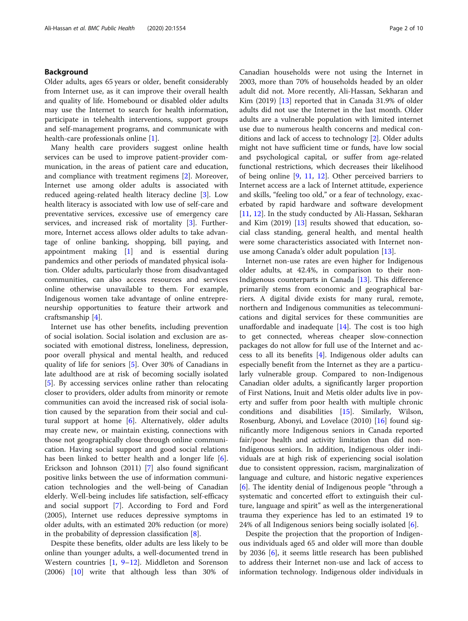#### Background

Older adults, ages 65 years or older, benefit considerably from Internet use, as it can improve their overall health and quality of life. Homebound or disabled older adults may use the Internet to search for health information, participate in telehealth interventions, support groups and self-management programs, and communicate with health-care professionals online [\[1](#page-8-0)].

Many health care providers suggest online health services can be used to improve patient-provider communication, in the areas of patient care and education, and compliance with treatment regimens [[2](#page-9-0)]. Moreover, Internet use among older adults is associated with reduced ageing-related health literacy decline [[3\]](#page-9-0). Low health literacy is associated with low use of self-care and preventative services, excessive use of emergency care services, and increased risk of mortality [\[3](#page-9-0)]. Furthermore, Internet access allows older adults to take advantage of online banking, shopping, bill paying, and appointment making [\[1](#page-8-0)] and is essential during pandemics and other periods of mandated physical isolation. Older adults, particularly those from disadvantaged communities, can also access resources and services online otherwise unavailable to them. For example, Indigenous women take advantage of online entrepreneurship opportunities to feature their artwork and craftsmanship [[4\]](#page-9-0).

Internet use has other benefits, including prevention of social isolation. Social isolation and exclusion are associated with emotional distress, loneliness, depression, poor overall physical and mental health, and reduced quality of life for seniors [[5\]](#page-9-0). Over 30% of Canadians in late adulthood are at risk of becoming socially isolated [[5\]](#page-9-0). By accessing services online rather than relocating closer to providers, older adults from minority or remote communities can avoid the increased risk of social isolation caused by the separation from their social and cultural support at home [[6\]](#page-9-0). Alternatively, older adults may create new, or maintain existing, connections with those not geographically close through online communication. Having social support and good social relations has been linked to better health and a longer life [\[6](#page-9-0)]. Erickson and Johnson (2011) [\[7](#page-9-0)] also found significant positive links between the use of information communication technologies and the well-being of Canadian elderly. Well-being includes life satisfaction, self-efficacy and social support [[7\]](#page-9-0). According to Ford and Ford (2005), Internet use reduces depressive symptoms in older adults, with an estimated 20% reduction (or more) in the probability of depression classification [[8\]](#page-9-0).

Despite these benefits, older adults are less likely to be online than younger adults, a well-documented trend in Western countries  $[1, 9-12]$  $[1, 9-12]$  $[1, 9-12]$  $[1, 9-12]$  $[1, 9-12]$ . Middleton and Sorenson (2006) [[10](#page-9-0)] write that although less than 30% of

Canadian households were not using the Internet in 2003, more than 70% of households headed by an older adult did not. More recently, Ali-Hassan, Sekharan and Kim  $(2019)$  [\[13](#page-9-0)] reported that in Canada 31.9% of older adults did not use the Internet in the last month. Older adults are a vulnerable population with limited internet use due to numerous health concerns and medical conditions and lack of access to technology [\[2](#page-9-0)]. Older adults might not have sufficient time or funds, have low social and psychological capital, or suffer from age-related functional restrictions, which decreases their likelihood of being online [\[9](#page-9-0), [11](#page-9-0), [12\]](#page-9-0). Other perceived barriers to Internet access are a lack of Internet attitude, experience and skills, "feeling too old," or a fear of technology, exacerbated by rapid hardware and software development [[11,](#page-9-0) [12\]](#page-9-0). In the study conducted by Ali-Hassan, Sekharan and Kim (2019) [[13\]](#page-9-0) results showed that education, social class standing, general health, and mental health were some characteristics associated with Internet nonuse among Canada's older adult population [[13\]](#page-9-0).

Internet non-use rates are even higher for Indigenous older adults, at 42.4%, in comparison to their non-Indigenous counterparts in Canada [[13\]](#page-9-0). This difference primarily stems from economic and geographical barriers. A digital divide exists for many rural, remote, northern and Indigenous communities as telecommunications and digital services for these communities are unaffordable and inadequate  $[14]$  $[14]$  $[14]$ . The cost is too high to get connected, whereas cheaper slow-connection packages do not allow for full use of the Internet and access to all its benefits [[4\]](#page-9-0). Indigenous older adults can especially benefit from the Internet as they are a particularly vulnerable group. Compared to non-Indigenous Canadian older adults, a significantly larger proportion of First Nations, Inuit and Metis older adults live in poverty and suffer from poor health with multiple chronic conditions and disabilities [[15](#page-9-0)]. Similarly, Wilson, Rosenburg, Abonyi, and Lovelace (2010) [[16\]](#page-9-0) found significantly more Indigenous seniors in Canada reported fair/poor health and activity limitation than did non-Indigenous seniors. In addition, Indigenous older individuals are at high risk of experiencing social isolation due to consistent oppression, racism, marginalization of language and culture, and historic negative experiences [[6\]](#page-9-0). The identity denial of Indigenous people "through a systematic and concerted effort to extinguish their culture, language and spirit" as well as the intergenerational trauma they experience has led to an estimated 19 to 24% of all Indigenous seniors being socially isolated [[6\]](#page-9-0).

Despite the projection that the proportion of Indigenous individuals aged 65 and older will more than double by 2036 [\[6](#page-9-0)], it seems little research has been published to address their Internet non-use and lack of access to information technology. Indigenous older individuals in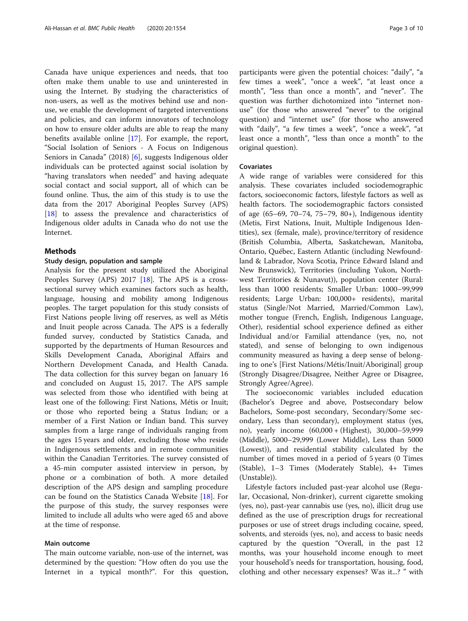Canada have unique experiences and needs, that too often make them unable to use and uninterested in using the Internet. By studying the characteristics of non-users, as well as the motives behind use and nonuse, we enable the development of targeted interventions and policies, and can inform innovators of technology on how to ensure older adults are able to reap the many benefits available online [\[17\]](#page-9-0). For example, the report, "Social Isolation of Seniors - A Focus on Indigenous Seniors in Canada" (2018) [[6\]](#page-9-0), suggests Indigenous older individuals can be protected against social isolation by "having translators when needed" and having adequate social contact and social support, all of which can be found online. Thus, the aim of this study is to use the data from the 2017 Aboriginal Peoples Survey (APS) [[18\]](#page-9-0) to assess the prevalence and characteristics of Indigenous older adults in Canada who do not use the Internet.

#### **Methods**

#### Study design, population and sample

Analysis for the present study utilized the Aboriginal Peoples Survey (APS) 2017 [[18](#page-9-0)]. The APS is a crosssectional survey which examines factors such as health, language, housing and mobility among Indigenous peoples. The target population for this study consists of First Nations people living off reserves, as well as Métis and Inuit people across Canada. The APS is a federally funded survey, conducted by Statistics Canada, and supported by the departments of Human Resources and Skills Development Canada, Aboriginal Affairs and Northern Development Canada, and Health Canada. The data collection for this survey began on January 16 and concluded on August 15, 2017. The APS sample was selected from those who identified with being at least one of the following: First Nations, Métis or Inuit; or those who reported being a Status Indian; or a member of a First Nation or Indian band. This survey samples from a large range of individuals ranging from the ages 15 years and older, excluding those who reside in Indigenous settlements and in remote communities within the Canadian Territories. The survey consisted of a 45-min computer assisted interview in person, by phone or a combination of both. A more detailed description of the APS design and sampling procedure can be found on the Statistics Canada Website [\[18\]](#page-9-0). For the purpose of this study, the survey responses were limited to include all adults who were aged 65 and above at the time of response.

#### Main outcome

The main outcome variable, non-use of the internet, was determined by the question: "How often do you use the Internet in a typical month?". For this question,

participants were given the potential choices: "daily", "a few times a week", "once a week", "at least once a month", "less than once a month", and "never". The question was further dichotomized into "internet nonuse" (for those who answered "never" to the original question) and "internet use" (for those who answered with "daily", "a few times a week", "once a week", "at least once a month", "less than once a month" to the original question).

#### Covariates

A wide range of variables were considered for this analysis. These covariates included sociodemographic factors, socioeconomic factors, lifestyle factors as well as health factors. The sociodemographic factors consisted of age (65–69, 70–74, 75–79, 80+), Indigenous identity (Metis, First Nations, Inuit, Multiple Indigenous Identities), sex (female, male), province/territory of residence (British Columbia, Alberta, Saskatchewan, Manitoba, Ontario, Québec, Eastern Atlantic (including Newfoundland & Labrador, Nova Scotia, Prince Edward Island and New Brunswick), Territories (including Yukon, Northwest Territories & Nunavut)), population center (Rural: less than 1000 residents; Smaller Urban: 1000–99,999 residents; Large Urban: 100,000+ residents), marital status (Single/Not Married, Married/Common Law), mother tongue (French, English, Indigenous Language, Other), residential school experience defined as either Individual and/or Familial attendance (yes, no, not stated), and sense of belonging to own indigenous community measured as having a deep sense of belonging to one's [First Nations/Métis/Inuit/Aboriginal] group (Strongly Disagree/Disagree, Neither Agree or Disagree, Strongly Agree/Agree).

The socioeconomic variables included education (Bachelor's Degree and above, Postsecondary below Bachelors, Some-post secondary, Secondary/Some secondary, Less than secondary), employment status (yes, no), yearly income (60,000 + (Highest), 30,000–59,999 (Middle), 5000–29,999 (Lower Middle), Less than 5000 (Lowest)), and residential stability calculated by the number of times moved in a period of 5 years (0 Times (Stable), 1–3 Times (Moderately Stable), 4+ Times (Unstable)).

Lifestyle factors included past-year alcohol use (Regular, Occasional, Non-drinker), current cigarette smoking (yes, no), past-year cannabis use (yes, no), illicit drug use defined as the use of prescription drugs for recreational purposes or use of street drugs including cocaine, speed, solvents, and steroids (yes, no), and access to basic needs captured by the question "Overall, in the past 12 months, was your household income enough to meet your household's needs for transportation, housing, food, clothing and other necessary expenses? Was it...? " with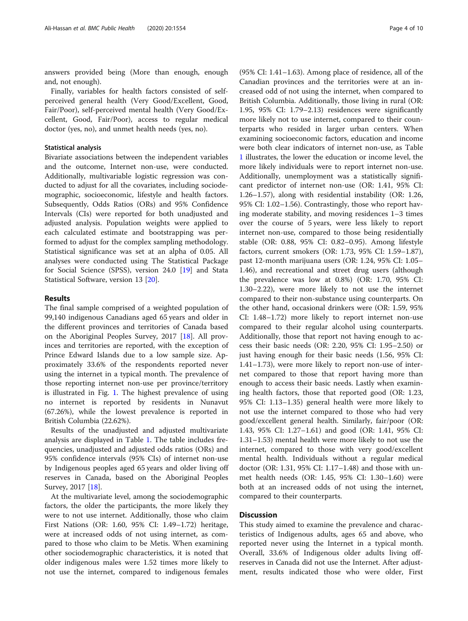answers provided being (More than enough, enough and, not enough).

Finally, variables for health factors consisted of selfperceived general health (Very Good/Excellent, Good, Fair/Poor), self-perceived mental health (Very Good/Excellent, Good, Fair/Poor), access to regular medical doctor (yes, no), and unmet health needs (yes, no).

#### Statistical analysis

Bivariate associations between the independent variables and the outcome, Internet non-use, were conducted. Additionally, multivariable logistic regression was conducted to adjust for all the covariates, including sociodemographic, socioeconomic, lifestyle and health factors. Subsequently, Odds Ratios (ORs) and 95% Confidence Intervals (CIs) were reported for both unadjusted and adjusted analysis. Population weights were applied to each calculated estimate and bootstrapping was performed to adjust for the complex sampling methodology. Statistical significance was set at an alpha of 0.05. All analyses were conducted using The Statistical Package for Social Science (SPSS), version 24.0 [\[19\]](#page-9-0) and Stata Statistical Software, version 13 [[20\]](#page-9-0).

#### Results

The final sample comprised of a weighted population of 99,140 indigenous Canadians aged 65 years and older in the different provinces and territories of Canada based on the Aboriginal Peoples Survey, 2017 [[18](#page-9-0)]. All provinces and territories are reported, with the exception of Prince Edward Islands due to a low sample size. Approximately 33.6% of the respondents reported never using the internet in a typical month. The prevalence of those reporting internet non-use per province/territory is illustrated in Fig. [1](#page-4-0). The highest prevalence of using no internet is reported by residents in Nunavut (67.26%), while the lowest prevalence is reported in British Columbia (22.62%).

Results of the unadjusted and adjusted multivariate analysis are displayed in Table [1.](#page-5-0) The table includes frequencies, unadjusted and adjusted odds ratios (ORs) and 95% confidence intervals (95% CIs) of internet non-use by Indigenous peoples aged 65 years and older living off reserves in Canada, based on the Aboriginal Peoples Survey, 2017 [[18\]](#page-9-0).

At the multivariate level, among the sociodemographic factors, the older the participants, the more likely they were to not use internet. Additionally, those who claim First Nations (OR: 1.60, 95% CI: 1.49–1.72) heritage, were at increased odds of not using internet, as compared to those who claim to be Metis. When examining other sociodemographic characteristics, it is noted that older indigenous males were 1.52 times more likely to not use the internet, compared to indigenous females

(95% CI: 1.41–1.63). Among place of residence, all of the Canadian provinces and the territories were at an increased odd of not using the internet, when compared to British Columbia. Additionally, those living in rural (OR: 1.95, 95% CI: 1.79–2.13) residences were significantly more likely not to use internet, compared to their counterparts who resided in larger urban centers. When examining socioeconomic factors, education and income were both clear indicators of internet non-use, as Table [1](#page-5-0) illustrates, the lower the education or income level, the more likely individuals were to report internet non-use. Additionally, unemployment was a statistically significant predictor of internet non-use (OR: 1.41, 95% CI: 1.26–1.57), along with residential instability (OR: 1.26, 95% CI: 1.02–1.56). Contrastingly, those who report having moderate stability, and moving residences 1–3 times over the course of 5 years, were less likely to report internet non-use, compared to those being residentially stable (OR: 0.88, 95% CI: 0.82–0.95). Among lifestyle factors, current smokers (OR: 1.73, 95% CI: 1.59–1.87), past 12-month marijuana users (OR: 1.24, 95% CI: 1.05– 1.46), and recreational and street drug users (although the prevalence was low at 0.8%) (OR: 1.70, 95% CI: 1.30–2.22), were more likely to not use the internet compared to their non-substance using counterparts. On the other hand, occasional drinkers were (OR: 1.59, 95% CI: 1.48–1.72) more likely to report internet non-use compared to their regular alcohol using counterparts. Additionally, those that report not having enough to access their basic needs (OR: 2.20, 95% CI: 1.95–2.50) or just having enough for their basic needs (1.56, 95% CI: 1.41–1.73), were more likely to report non-use of internet compared to those that report having more than enough to access their basic needs. Lastly when examining health factors, those that reported good (OR: 1.23, 95% CI: 1.13–1.35) general health were more likely to not use the internet compared to those who had very good/excellent general health. Similarly, fair/poor (OR: 1.43, 95% CI: 1.27–1.61) and good (OR: 1.41, 95% CI: 1.31–1.53) mental health were more likely to not use the internet, compared to those with very good/excellent mental health. Individuals without a regular medical doctor (OR: 1.31, 95% CI: 1.17–1.48) and those with unmet health needs (OR: 1.45, 95% CI: 1.30–1.60) were both at an increased odds of not using the internet, compared to their counterparts.

#### Discussion

This study aimed to examine the prevalence and characteristics of Indigenous adults, ages 65 and above, who reported never using the Internet in a typical month. Overall, 33.6% of Indigenous older adults living offreserves in Canada did not use the Internet. After adjustment, results indicated those who were older, First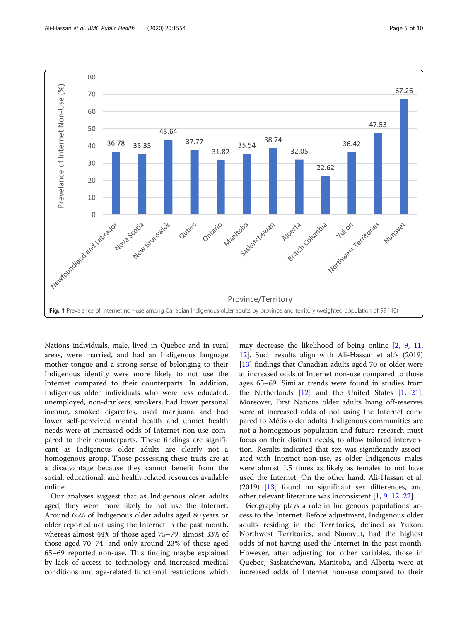<span id="page-4-0"></span>

Nations individuals, male, lived in Quebec and in rural areas, were married, and had an Indigenous language mother tongue and a strong sense of belonging to their Indigenous identity were more likely to not use the Internet compared to their counterparts. In addition, Indigenous older individuals who were less educated, unemployed, non-drinkers, smokers, had lower personal income, smoked cigarettes, used marijuana and had lower self-perceived mental health and unmet health needs were at increased odds of Internet non-use compared to their counterparts. These findings are significant as Indigenous older adults are clearly not a homogenous group. Those possessing these traits are at a disadvantage because they cannot benefit from the social, educational, and health-related resources available online.

Our analyses suggest that as Indigenous older adults aged, they were more likely to not use the Internet. Around 65% of Indigenous older adults aged 80 years or older reported not using the Internet in the past month, whereas almost 44% of those aged 75–79, almost 33% of those aged 70–74, and only around 23% of those aged 65–69 reported non-use. This finding maybe explained by lack of access to technology and increased medical conditions and age-related functional restrictions which

may decrease the likelihood of being online [[2,](#page-9-0) [9,](#page-9-0) [11](#page-9-0), [12\]](#page-9-0). Such results align with Ali-Hassan et al.'s (2019) [[13\]](#page-9-0) findings that Canadian adults aged 70 or older were at increased odds of Internet non-use compared to those ages 65–69. Similar trends were found in studies from the Netherlands [\[12\]](#page-9-0) and the United States [\[1](#page-8-0), [21](#page-9-0)]. Moreover, First Nations older adults living off-reserves were at increased odds of not using the Internet compared to Métis older adults. Indigenous communities are not a homogenous population and future research must focus on their distinct needs, to allow tailored intervention. Results indicated that sex was significantly associated with Internet non-use, as older Indigenous males were almost 1.5 times as likely as females to not have used the Internet. On the other hand, Ali-Hassan et al. (2019) [[13\]](#page-9-0) found no significant sex differences, and other relevant literature was inconsistent [\[1](#page-8-0), [9](#page-9-0), [12](#page-9-0), [22](#page-9-0)].

Geography plays a role in Indigenous populations' access to the Internet. Before adjustment, Indigenous older adults residing in the Territories, defined as Yukon, Northwest Territories, and Nunavut, had the highest odds of not having used the Internet in the past month. However, after adjusting for other variables, those in Quebec, Saskatchewan, Manitoba, and Alberta were at increased odds of Internet non-use compared to their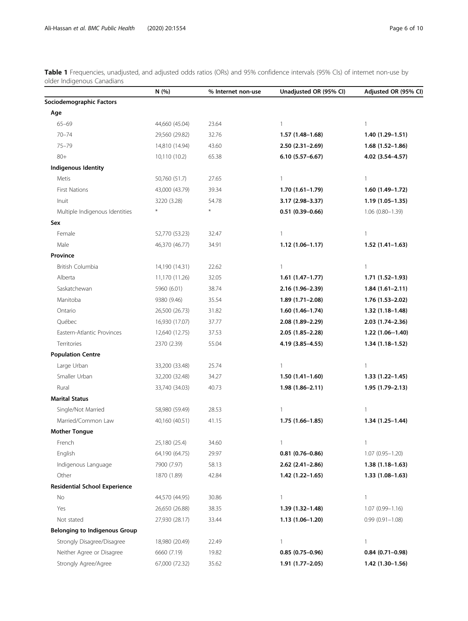<span id="page-5-0"></span>Table 1 Frequencies, unadjusted, and adjusted odds ratios (ORs) and 95% confidence intervals (95% Cls) of internet non-use by older Indigenous Canadians

|                                      | N (%)          | % Internet non-use | Unadjusted OR (95% CI) | Adjusted OR (95% CI) |
|--------------------------------------|----------------|--------------------|------------------------|----------------------|
| Sociodemographic Factors             |                |                    |                        |                      |
| Age                                  |                |                    |                        |                      |
| $65 - 69$                            | 44,660 (45.04) | 23.64              | 1                      | $\mathbf{1}$         |
| $70 - 74$                            | 29,560 (29.82) | 32.76              | $1.57(1.48-1.68)$      | $1.40(1.29 - 1.51)$  |
| $75 - 79$                            | 14,810 (14.94) | 43.60              | $2.50(2.31-2.69)$      | $1.68(1.52 - 1.86)$  |
| $80+$                                | 10,110 (10.2)  | 65.38              | $6.10(5.57 - 6.67)$    | 4.02 (3.54-4.57)     |
| Indigenous Identity                  |                |                    |                        |                      |
| Metis                                | 50,760 (51.7)  | 27.65              | 1                      | 1                    |
| <b>First Nations</b>                 | 43,000 (43.79) | 39.34              | $1.70(1.61 - 1.79)$    | $1.60(1.49-1.72)$    |
| Inuit                                | 3220 (3.28)    | 54.78              | 3.17 (2.98-3.37)       | $1.19(1.05-1.35)$    |
| Multiple Indigenous Identities       | $*$            | $\ast$             | $0.51(0.39 - 0.66)$    | $1.06(0.80 - 1.39)$  |
| Sex                                  |                |                    |                        |                      |
| Female                               | 52,770 (53.23) | 32.47              | 1                      | 1                    |
| Male                                 | 46,370 (46.77) | 34.91              | $1.12(1.06 - 1.17)$    | $1.52(1.41-1.63)$    |
| Province                             |                |                    |                        |                      |
| British Columbia                     | 14,190 (14.31) | 22.62              | 1                      | $\mathbf{1}$         |
| Alberta                              | 11,170 (11.26) | 32.05              | $1.61(1.47-1.77)$      | $1.71(1.52 - 1.93)$  |
| Saskatchewan                         | 5960 (6.01)    | 38.74              | 2.16 (1.96-2.39)       | $1.84(1.61 - 2.11)$  |
| Manitoba                             | 9380 (9.46)    | 35.54              | 1.89 (1.71-2.08)       | $1.76(1.53 - 2.02)$  |
| Ontario                              | 26,500 (26.73) | 31.82              | $1.60(1.46 - 1.74)$    | $1.32(1.18 - 1.48)$  |
| Québec                               | 16,930 (17.07) | 37.77              | 2.08 (1.89-2.29)       | 2.03 (1.74-2.36)     |
| Eastern-Atlantic Provinces           | 12,640 (12.75) | 37.53              | 2.05 (1.85-2.28)       | $1.22(1.06 - 1.40)$  |
| Territories                          | 2370 (2.39)    | 55.04              | 4.19 (3.85-4.55)       | $1.34(1.18 - 1.52)$  |
| <b>Population Centre</b>             |                |                    |                        |                      |
| Large Urban                          | 33,200 (33.48) | 25.74              | 1                      | 1                    |
| Smaller Urban                        | 32,200 (32.48) | 34.27              | $1.50(1.41-1.60)$      | $1.33(1.22 - 1.45)$  |
| Rural                                | 33,740 (34.03) | 40.73              | $1.98(1.86 - 2.11)$    | $1.95(1.79 - 2.13)$  |
| <b>Marital Status</b>                |                |                    |                        |                      |
| Single/Not Married                   | 58,980 (59.49) | 28.53              | 1                      | 1                    |
| Married/Common Law                   | 40,160 (40.51) | 41.15              | $1.75(1.66 - 1.85)$    | $1.34(1.25 - 1.44)$  |
| <b>Mother Tongue</b>                 |                |                    |                        |                      |
| French                               | 25,180 (25.4)  | 34.60              | 1                      | 1                    |
| English                              | 64,190 (64.75) | 29.97              | $0.81(0.76 - 0.86)$    | $1.07(0.95 - 1.20)$  |
| Indigenous Language                  | 7900 (7.97)    | 58.13              | $2.62$ (2.41-2.86)     | $1.38(1.18 - 1.63)$  |
| Other                                | 1870 (1.89)    | 42.84              | $1.42(1.22 - 1.65)$    | 1.33 (1.08–1.63)     |
| <b>Residential School Experience</b> |                |                    |                        |                      |
| No                                   | 44,570 (44.95) | 30.86              | 1                      | $\mathbf{1}$         |
| Yes                                  | 26,650 (26.88) | 38.35              | $1.39(1.32 - 1.48)$    | $1.07(0.99 - 1.16)$  |
| Not stated                           | 27,930 (28.17) | 33.44              | $1.13(1.06 - 1.20)$    | $0.99(0.91 - 1.08)$  |
| <b>Belonging to Indigenous Group</b> |                |                    |                        |                      |
| Strongly Disagree/Disagree           | 18,980 (20.49) | 22.49              | 1                      | 1                    |
| Neither Agree or Disagree            | 6660 (7.19)    | 19.82              | $0.85(0.75-0.96)$      | $0.84(0.71-0.98)$    |
| Strongly Agree/Agree                 | 67,000 (72.32) | 35.62              | $1.91(1.77-2.05)$      | $1.42(1.30-1.56)$    |
|                                      |                |                    |                        |                      |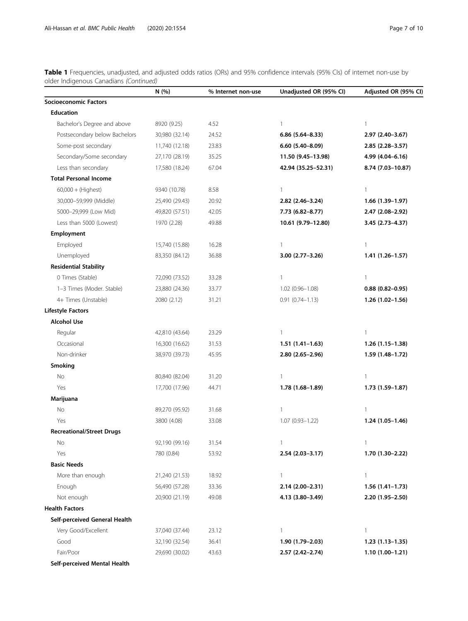Table 1 Frequencies, unadjusted, and adjusted odds ratios (ORs) and 95% confidence intervals (95% Cls) of internet non-use by older Indigenous Canadians (Continued)

|                                  | N (%)          | % Internet non-use | Unadjusted OR (95% CI) | Adjusted OR (95% CI) |
|----------------------------------|----------------|--------------------|------------------------|----------------------|
| <b>Socioeconomic Factors</b>     |                |                    |                        |                      |
| <b>Education</b>                 |                |                    |                        |                      |
| Bachelor's Degree and above      | 8920 (9.25)    | 4.52               | $\mathbf{1}$           | 1                    |
| Postsecondary below Bachelors    | 30,980 (32.14) | 24.52              | $6.86(5.64 - 8.33)$    | 2.97 (2.40-3.67)     |
| Some-post secondary              | 11,740 (12.18) | 23.83              | $6.60(5.40-8.09)$      | $2.85(2.28-3.57)$    |
| Secondary/Some secondary         | 27,170 (28.19) | 35.25              | 11.50 (9.45-13.98)     | 4.99 (4.04-6.16)     |
| Less than secondary              | 17,580 (18.24) | 67.04              | 42.94 (35.25-52.31)    | 8.74 (7.03-10.87)    |
| <b>Total Personal Income</b>     |                |                    |                        |                      |
| $60,000 + (Highest)$             | 9340 (10.78)   | 8.58               | $\mathbf{1}$           | 1                    |
| 30,000-59,999 (Middle)           | 25,490 (29.43) | 20.92              | 2.82 (2.46-3.24)       | $1.66(1.39-1.97)$    |
| 5000-29,999 (Low Mid)            | 49,820 (57.51) | 42.05              | 7.73 (6.82-8.77)       | 2.47 (2.08–2.92)     |
| Less than 5000 (Lowest)          | 1970 (2.28)    | 49.88              | 10.61 (9.79-12.80)     | $3.45(2.73 - 4.37)$  |
| Employment                       |                |                    |                        |                      |
| Employed                         | 15,740 (15.88) | 16.28              | $\mathbf{1}$           | 1                    |
| Unemployed                       | 83,350 (84.12) | 36.88              | $3.00(2.77 - 3.26)$    | $1.41(1.26 - 1.57)$  |
| <b>Residential Stability</b>     |                |                    |                        |                      |
| 0 Times (Stable)                 | 72,090 (73.52) | 33.28              | $\mathbf{1}$           | 1                    |
| 1-3 Times (Moder. Stable)        | 23,880 (24.36) | 33.77              | $1.02(0.96 - 1.08)$    | $0.88(0.82 - 0.95)$  |
| 4+ Times (Unstable)              | 2080 (2.12)    | 31.21              | $0.91(0.74 - 1.13)$    | $1.26(1.02 - 1.56)$  |
| <b>Lifestyle Factors</b>         |                |                    |                        |                      |
| <b>Alcohol Use</b>               |                |                    |                        |                      |
| Regular                          | 42,810 (43.64) | 23.29              | $\mathbf{1}$           | 1                    |
| Occasional                       | 16,300 (16.62) | 31.53              | $1.51(1.41-1.63)$      | 1.26 (1.15–1.38)     |
| Non-drinker                      | 38,970 (39.73) | 45.95              | $2.80(2.65-2.96)$      | 1.59 (1.48-1.72)     |
| Smoking                          |                |                    |                        |                      |
| No                               | 80,840 (82.04) | 31.20              | $\mathbf{1}$           | 1                    |
| Yes                              | 17,700 (17.96) | 44.71              | $1.78(1.68-1.89)$      | 1.73 (1.59-1.87)     |
| Marijuana                        |                |                    |                        |                      |
| No                               | 89,270 (95.92) | 31.68              | $\mathbf{1}$           | 1                    |
| Yes                              | 3800 (4.08)    | 33.08              | $1.07(0.93 - 1.22)$    | $1.24(1.05-1.46)$    |
| <b>Recreational/Street Drugs</b> |                |                    |                        |                      |
| No                               | 92,190 (99.16) | 31.54              | $\mathbf{1}$           | 1                    |
| Yes                              | 780 (0.84)     | 53.92              | $2.54(2.03 - 3.17)$    | 1.70 (1.30-2.22)     |
| <b>Basic Needs</b>               |                |                    |                        |                      |
| More than enough                 | 21,240 (21.53) | 18.92              | 1                      | 1                    |
| Enough                           | 56,490 (57.28) | 33.36              | 2.14 (2.00-2.31)       | $1.56(1.41-1.73)$    |
| Not enough                       | 20,900 (21.19) | 49.08              | 4.13 (3.80-3.49)       | 2.20 (1.95-2.50)     |
| <b>Health Factors</b>            |                |                    |                        |                      |
| Self-perceived General Health    |                |                    |                        |                      |
| Very Good/Excellent              | 37,040 (37.44) | 23.12              | 1                      | 1                    |
| Good                             | 32,190 (32.54) | 36.41              | 1.90 (1.79–2.03)       | $1.23(1.13 - 1.35)$  |
| Fair/Poor                        | 29,690 (30.02) | 43.63              | 2.57 (2.42-2.74)       | $1.10(1.00-1.21)$    |
| Self-perceived Mental Health     |                |                    |                        |                      |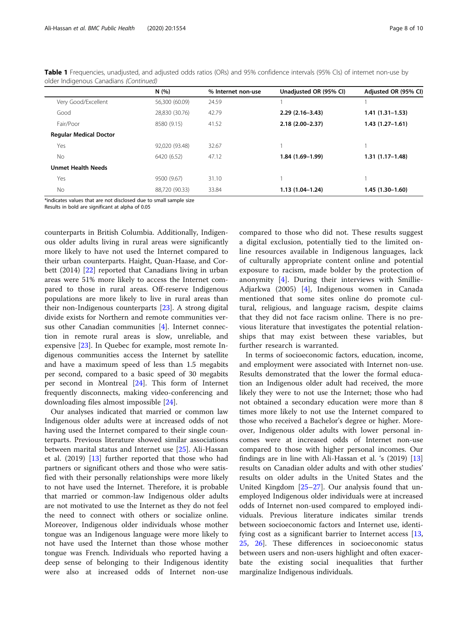|                               | N(%)           | % Internet non-use | Unadjusted OR (95% CI) | Adjusted OR (95% CI) |
|-------------------------------|----------------|--------------------|------------------------|----------------------|
| Very Good/Excellent           | 56,300 (60.09) | 24.59              |                        |                      |
| Good                          | 28,830 (30.76) | 42.79              | $2.29(2.16-3.43)$      | $1.41(1.31-1.53)$    |
| Fair/Poor                     | 8580 (9.15)    | 41.52              | $2.18(2.00-2.37)$      | $1.43(1.27-1.61)$    |
| <b>Regular Medical Doctor</b> |                |                    |                        |                      |
| Yes                           | 92,020 (93.48) | 32.67              |                        |                      |
| No.                           | 6420 (6.52)    | 47.12              | $1.84(1.69-1.99)$      | $1.31(1.17-1.48)$    |
| <b>Unmet Health Needs</b>     |                |                    |                        |                      |
| Yes                           | 9500 (9.67)    | 31.10              |                        |                      |
| No.                           | 88,720 (90.33) | 33.84              | $1.13(1.04-1.24)$      | $1.45(1.30-1.60)$    |

Table 1 Frequencies, unadjusted, and adjusted odds ratios (ORs) and 95% confidence intervals (95% CIs) of internet non-use by older Indigenous Canadians (Continued)

\*indicates values that are not disclosed due to small sample size

Results in bold are significant at alpha of 0.05

counterparts in British Columbia. Additionally, Indigenous older adults living in rural areas were significantly more likely to have not used the Internet compared to their urban counterparts. Haight, Quan-Haase, and Corbett (2014) [[22\]](#page-9-0) reported that Canadians living in urban areas were 51% more likely to access the Internet compared to those in rural areas. Off-reserve Indigenous populations are more likely to live in rural areas than their non-Indigenous counterparts [\[23](#page-9-0)]. A strong digital divide exists for Northern and remote communities versus other Canadian communities [\[4\]](#page-9-0). Internet connection in remote rural areas is slow, unreliable, and expensive [[23\]](#page-9-0). In Quebec for example, most remote Indigenous communities access the Internet by satellite and have a maximum speed of less than 1.5 megabits per second, compared to a basic speed of 30 megabits per second in Montreal [[24\]](#page-9-0). This form of Internet frequently disconnects, making video-conferencing and downloading files almost impossible [[24\]](#page-9-0).

Our analyses indicated that married or common law Indigenous older adults were at increased odds of not having used the Internet compared to their single counterparts. Previous literature showed similar associations between marital status and Internet use [\[25\]](#page-9-0). Ali-Hassan et al. (2019) [\[13](#page-9-0)] further reported that those who had partners or significant others and those who were satisfied with their personally relationships were more likely to not have used the Internet. Therefore, it is probable that married or common-law Indigenous older adults are not motivated to use the Internet as they do not feel the need to connect with others or socialize online. Moreover, Indigenous older individuals whose mother tongue was an Indigenous language were more likely to not have used the Internet than those whose mother tongue was French. Individuals who reported having a deep sense of belonging to their Indigenous identity were also at increased odds of Internet non-use compared to those who did not. These results suggest a digital exclusion, potentially tied to the limited online resources available in Indigenous languages, lack of culturally appropriate content online and potential exposure to racism, made bolder by the protection of anonymity [[4\]](#page-9-0). During their interviews with Smillie-Adjarkwa (2005) [[4\]](#page-9-0), Indigenous women in Canada mentioned that some sites online do promote cultural, religious, and language racism, despite claims that they did not face racism online. There is no previous literature that investigates the potential relationships that may exist between these variables, but further research is warranted.

In terms of socioeconomic factors, education, income, and employment were associated with Internet non-use. Results demonstrated that the lower the formal education an Indigenous older adult had received, the more likely they were to not use the Internet; those who had not obtained a secondary education were more than 8 times more likely to not use the Internet compared to those who received a Bachelor's degree or higher. Moreover, Indigenous older adults with lower personal incomes were at increased odds of Internet non-use compared to those with higher personal incomes. Our findings are in line with Ali-Hassan et al. 's (2019) [[13](#page-9-0)] results on Canadian older adults and with other studies' results on older adults in the United States and the United Kingdom [[25](#page-9-0)–[27](#page-9-0)]. Our analysis found that unemployed Indigenous older individuals were at increased odds of Internet non-used compared to employed individuals. Previous literature indicates similar trends between socioeconomic factors and Internet use, identifying cost as a significant barrier to Internet access [[13](#page-9-0), [25,](#page-9-0) [26](#page-9-0)]. These differences in socioeconomic status between users and non-users highlight and often exacerbate the existing social inequalities that further marginalize Indigenous individuals.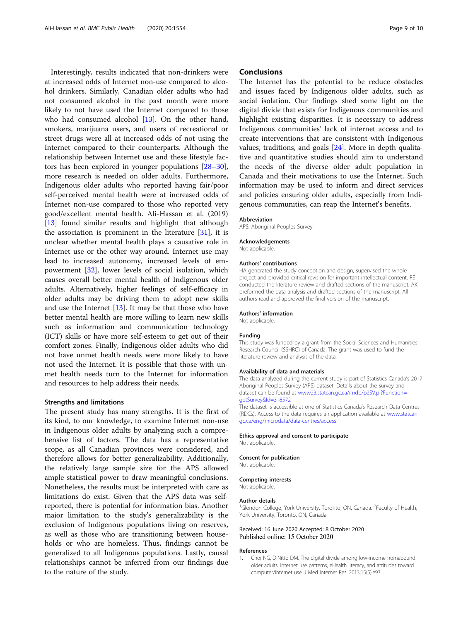<span id="page-8-0"></span>Interestingly, results indicated that non-drinkers were at increased odds of Internet non-use compared to alcohol drinkers. Similarly, Canadian older adults who had not consumed alcohol in the past month were more likely to not have used the Internet compared to those who had consumed alcohol [\[13](#page-9-0)]. On the other hand, smokers, marijuana users, and users of recreational or street drugs were all at increased odds of not using the Internet compared to their counterparts. Although the relationship between Internet use and these lifestyle factors has been explored in younger populations [[28](#page-9-0)–[30](#page-9-0)], more research is needed on older adults. Furthermore, Indigenous older adults who reported having fair/poor self-perceived mental health were at increased odds of Internet non-use compared to those who reported very good/excellent mental health. Ali-Hassan et al. (2019) [[13\]](#page-9-0) found similar results and highlight that although the association is prominent in the literature  $[31]$  $[31]$ , it is unclear whether mental health plays a causative role in Internet use or the other way around. Internet use may lead to increased autonomy, increased levels of empowerment [[32\]](#page-9-0), lower levels of social isolation, which causes overall better mental health of Indigenous older adults. Alternatively, higher feelings of self-efficacy in older adults may be driving them to adopt new skills and use the Internet  $[13]$  $[13]$ . It may be that those who have better mental health are more willing to learn new skills such as information and communication technology (ICT) skills or have more self-esteem to get out of their comfort zones. Finally, Indigenous older adults who did not have unmet health needs were more likely to have not used the Internet. It is possible that those with unmet health needs turn to the Internet for information and resources to help address their needs.

#### Strengths and limitations

The present study has many strengths. It is the first of its kind, to our knowledge, to examine Internet non-use in Indigenous older adults by analyzing such a comprehensive list of factors. The data has a representative scope, as all Canadian provinces were considered, and therefore allows for better generalizability. Additionally, the relatively large sample size for the APS allowed ample statistical power to draw meaningful conclusions. Nonetheless, the results must be interpreted with care as limitations do exist. Given that the APS data was selfreported, there is potential for information bias. Another major limitation to the study's generalizability is the exclusion of Indigenous populations living on reserves, as well as those who are transitioning between households or who are homeless. Thus, findings cannot be generalized to all Indigenous populations. Lastly, causal relationships cannot be inferred from our findings due to the nature of the study.

#### **Conclusions**

The Internet has the potential to be reduce obstacles and issues faced by Indigenous older adults, such as social isolation. Our findings shed some light on the digital divide that exists for Indigenous communities and highlight existing disparities. It is necessary to address Indigenous communities' lack of internet access and to create interventions that are consistent with Indigenous values, traditions, and goals [\[24](#page-9-0)]. More in depth qualitative and quantitative studies should aim to understand the needs of the diverse older adult population in Canada and their motivations to use the Internet. Such information may be used to inform and direct services and policies ensuring older adults, especially from Indigenous communities, can reap the Internet's benefits.

#### Abbreviation

APS: Aboriginal Peoples Survey

#### Acknowledgements

Not applicable.

#### Authors' contributions

HA generated the study conception and design, supervised the whole project and provided critical revision for important intellectual content. RE conducted the literature review and drafted sections of the manuscript. AK preformed the data analysis and drafted sections of the manuscript. All authors read and approved the final version of the manuscript.

#### Authors' information

Not applicable.

#### Funding

This study was funded by a grant from the Social Sciences and Humanities Research Council (SSHRC) of Canada. The grant was used to fund the literature review and analysis of the data.

#### Availability of data and materials

The data analyzed during the current study is part of Statistics Canada's 2017 Aboriginal Peoples Survey (APS) dataset. Details about the survey and dataset can be found at [www23.statcan.gc.ca/imdb/p2SV.pl?Function=](http://www23.statcan.gc.ca/imdb/p2SV.pl?Function=getSurvey&Id=318572) [getSurvey&Id=318572](http://www23.statcan.gc.ca/imdb/p2SV.pl?Function=getSurvey&Id=318572)

The dataset is accessible at one of Statistics Canada's Research Data Centres (RDCs). Access to the data requires an application available at [www.statcan.](http://www.statcan.gc.ca/eng/microdata/data-centres/access) [gc.ca/eng/microdata/data-centres/access](http://www.statcan.gc.ca/eng/microdata/data-centres/access)

#### Ethics approval and consent to participate

Not applicable.

#### Consent for publication

Not applicable.

#### Competing interests

Not applicable.

#### Author details

<sup>1</sup>Glendon College, York University, Toronto, ON, Canada. <sup>2</sup>Faculty of Health York University, Toronto, ON, Canada.

#### Received: 16 June 2020 Accepted: 8 October 2020 Published online: 15 October 2020

#### References

1. Choi NG, DiNitto DM. The digital divide among low-income homebound older adults: Internet use patterns, eHealth literacy, and attitudes toward computer/Internet use. J Med Internet Res. 2013;15(5):e93.